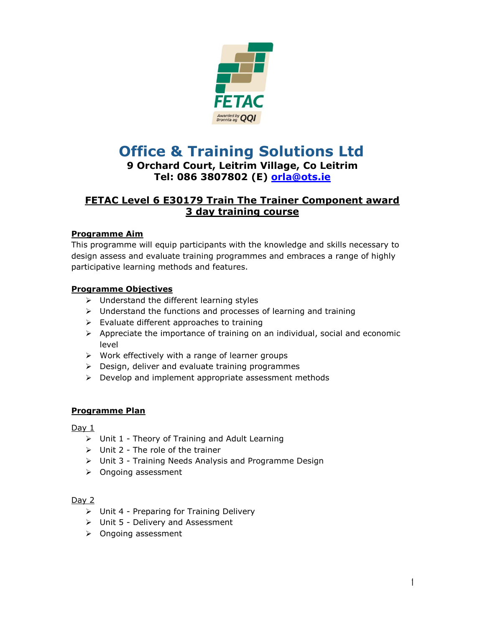

# **Office & Training Solutions Ltd**

## **9 Orchard Court, Leitrim Village, Co Leitrim Tel: 086 3807802 (E) [orla@ots.ie](mailto:oral@ots.ie)**

# **FETAC Level 6 E30179 Train The Trainer Component award 3 day training course**

## **Programme Aim**

This programme will equip participants with the knowledge and skills necessary to design assess and evaluate training programmes and embraces a range of highly participative learning methods and features.

### **Programme Objectives**

- $\triangleright$  Understand the different learning styles
- $\triangleright$  Understand the functions and processes of learning and training
- $\triangleright$  Evaluate different approaches to training
- $\triangleright$  Appreciate the importance of training on an individual, social and economic level
- $\triangleright$  Work effectively with a range of learner groups
- $\triangleright$  Design, deliver and evaluate training programmes
- $\triangleright$  Develop and implement appropriate assessment methods

#### **Programme Plan**

Day 1

- $\triangleright$  Unit 1 Theory of Training and Adult Learning
- $\triangleright$  Unit 2 The role of the trainer
- Unit 3 Training Needs Analysis and Programme Design
- $\triangleright$  Ongoing assessment

#### Day 2

- $\triangleright$  Unit 4 Preparing for Training Delivery
- $\triangleright$  Unit 5 Delivery and Assessment
- > Ongoing assessment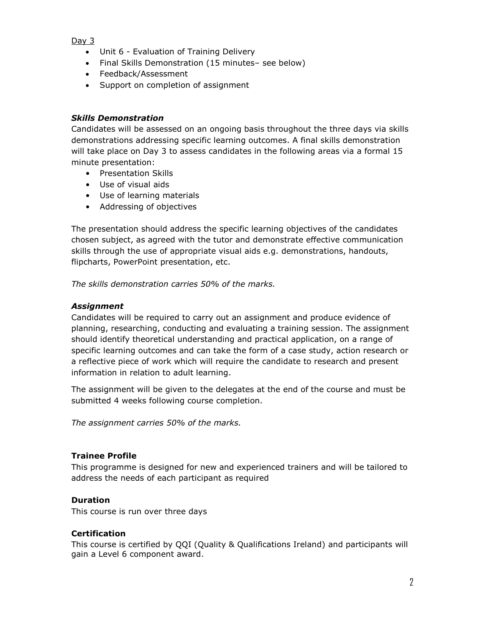#### Day 3

- Unit 6 Evaluation of Training Delivery
- Final Skills Demonstration (15 minutes- see below)
- Feedback/Assessment
- Support on completion of assignment

#### *Skills Demonstration*

Candidates will be assessed on an ongoing basis throughout the three days via skills demonstrations addressing specific learning outcomes. A final skills demonstration will take place on Day 3 to assess candidates in the following areas via a formal 15 minute presentation:

- Presentation Skills
- Use of visual aids
- Use of learning materials
- Addressing of objectives

The presentation should address the specific learning objectives of the candidates chosen subject, as agreed with the tutor and demonstrate effective communication skills through the use of appropriate visual aids e.g. demonstrations, handouts, flipcharts, PowerPoint presentation, etc.

*The skills demonstration carries 50% of the marks.* 

#### *Assignment*

Candidates will be required to carry out an assignment and produce evidence of planning, researching, conducting and evaluating a training session. The assignment should identify theoretical understanding and practical application, on a range of specific learning outcomes and can take the form of a case study, action research or a reflective piece of work which will require the candidate to research and present information in relation to adult learning.

The assignment will be given to the delegates at the end of the course and must be submitted 4 weeks following course completion.

*The assignment carries 50% of the marks.* 

#### **Trainee Profile**

This programme is designed for new and experienced trainers and will be tailored to address the needs of each participant as required

#### **Duration**

This course is run over three days

#### **Certification**

This course is certified by QQI (Quality & Qualifications Ireland) and participants will gain a Level 6 component award.